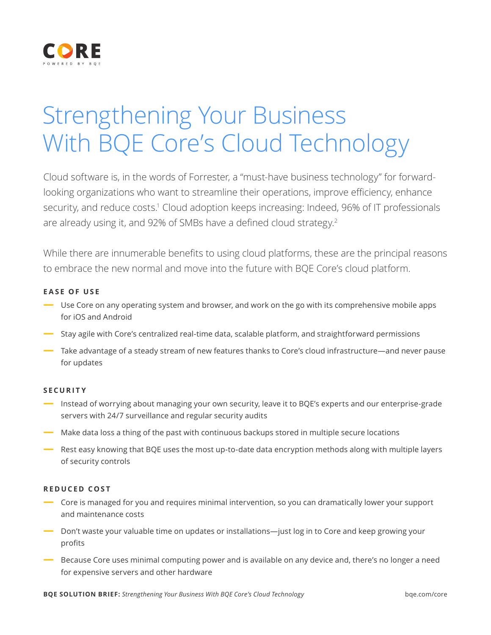

# Strengthening Your Business With BQE Core's Cloud Technology

Cloud software is, in the words of Forrester, a "must-have business technology" for forwardlooking organizations who want to streamline their operations, improve efficiency, enhance security, and reduce costs.<sup>1</sup> Cloud adoption keeps increasing: Indeed, 96% of IT professionals are already using it, and 92% of SMBs have a defined cloud strategy.<sup>2</sup>

While there are innumerable benefits to using cloud platforms, these are the principal reasons to embrace the new normal and move into the future with BQE Core's cloud platform.

#### **EASE OF USE**

- **—** Use Core on any operating system and browser, and work on the go with its comprehensive mobile apps for iOS and Android
- **—** Stay agile with Core's centralized real-time data, scalable platform, and straightforward permissions
- **—** Take advantage of a steady stream of new features thanks to Core's cloud infrastructure—and never pause for updates

#### **SECURITY**

- **—** Instead of worrying about managing your own security, leave it to BQE's experts and our enterprise-grade servers with 24/7 surveillance and regular security audits
- **—** Make data loss a thing of the past with continuous backups stored in multiple secure locations
- **—** Rest easy knowing that BQE uses the most up-to-date data encryption methods along with multiple layers of security controls

#### **REDUCED COST**

- **—** Core is managed for you and requires minimal intervention, so you can dramatically lower your support and maintenance costs
- **—** Don't waste your valuable time on updates or installations—just log in to Core and keep growing your profits
- **—** Because Core uses minimal computing power and is available on any device and, there's no longer a need for expensive servers and other hardware